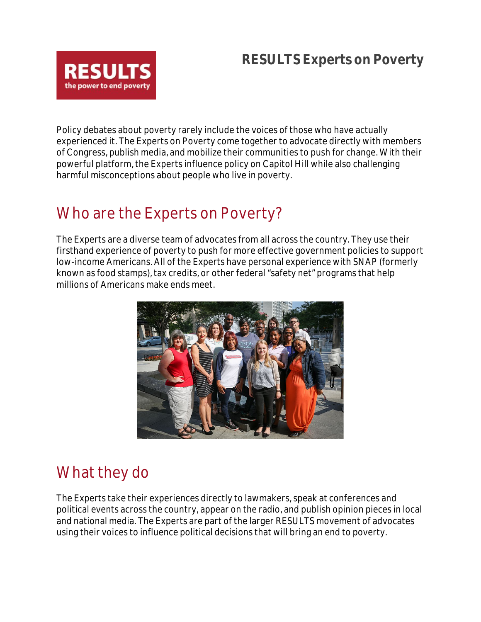#### **RESULTS Experts on Poverty**



Policy debates about poverty rarely include the voices of those who have actually experienced it. The Experts on Poverty come together to advocate directly with members of Congress, publish media, and mobilize their communities to push for change. With their powerful platform, the Experts influence policy on Capitol Hill while also challenging harmful misconceptions about people who live in poverty.

### Who are the Experts on Poverty?

The Experts are a diverse team of advocates from all across the country. They use their firsthand experience of poverty to push for more effective government policies to support low-income Americans. All of the Experts have personal experience with SNAP (formerly known as food stamps), tax credits, or other federal "safety net" programs that help millions of Americans make ends meet.



## What they do

The Experts take their experiences directly to lawmakers, speak at conferences and political events across the country, appear on the radio, and publish opinion pieces in local and national media. The Experts are part of the larger RESULTS movement of advocates using their voices to influence political decisions that will bring an end to poverty.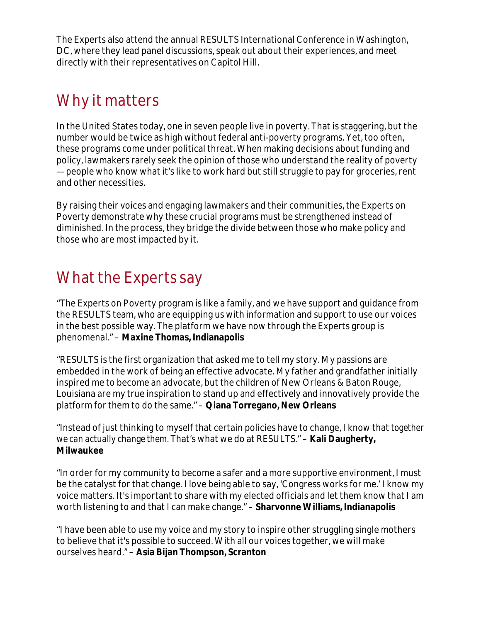The Experts also attend the annual RESULTS International Conference in Washington, DC, where they lead panel discussions, speak out about their experiences, and meet directly with their representatives on Capitol Hill.

## Why it matters

In the United States today, one in seven people live in poverty. That is staggering, but the number would be twice as high without federal anti-poverty programs. Yet, too often, these programs come under political threat. When making decisions about funding and policy, lawmakers rarely seek the opinion of those who understand the reality of poverty — people who know what it's like to work hard but still struggle to pay for groceries, rent and other necessities.

By raising their voices and engaging lawmakers and their communities, the Experts on Poverty demonstrate why these crucial programs must be strengthened instead of diminished. In the process, they bridge the divide between those who make policy and those who are most impacted by it.

### What the Experts say

"The Experts on Poverty program is like a family, and we have support and guidance from the RESULTS team, who are equipping us with information and support to use our voices in the best possible way. The platform we have now through the Experts group is phenomenal." – **Maxine Thomas, Indianapolis**

"RESULTS is the first organization that asked me to tell my story. My passions are embedded in the work of being an effective advocate. My father and grandfather initially inspired me to become an advocate, but the children of New Orleans & Baton Rouge, Louisiana are my true inspiration to stand up and effectively and innovatively provide the platform for them to do the same." – **Qiana Torregano, New Orleans**

"Instead of just thinking to myself that certain policies have to change, I know that *together we can actually change them.* That's what we do at RESULTS." – **Kali Daugherty, Milwaukee**

"In order for my community to become a safer and a more supportive environment, I must be the catalyst for that change. I love being able to say, 'Congress works for me.' I know my voice matters. It's important to share with my elected officials and let them know that I am worth listening to and that I can make change." – **Sharvonne Williams, Indianapolis**

"I have been able to use my voice and my story to inspire other struggling single mothers to believe that it's possible to succeed. With all our voices together, we will make ourselves heard." – **Asia Bijan Thompson, Scranton**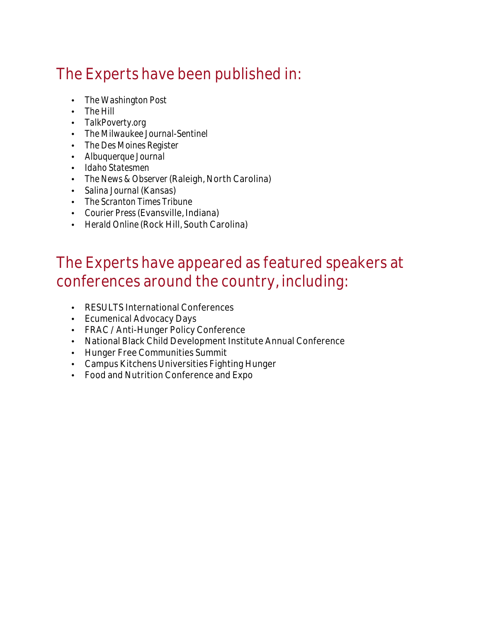# The Experts have been published in:

- *The Washington Post*
- *The Hill*
- *TalkPoverty.org*
- *The Milwaukee Journal-Sentinel*
- *The Des Moines Register*
- *Albuquerque Journal*
- *Idaho Statesmen*
- *The News & Observer* (Raleigh, North Carolina)
- *Salina Journal* (Kansas)
- *The Scranton Times Tribune*
- *Courier Press*(Evansville, Indiana)
- *Herald Online* (Rock Hill, South Carolina)

### The Experts have appeared as featured speakers at conferences around the country, including:

- RESULTS International Conferences
- Ecumenical Advocacy Days
- FRAC / Anti-Hunger Policy Conference
- National Black Child Development Institute Annual Conference
- Hunger Free Communities Summit
- Campus Kitchens Universities Fighting Hunger
- Food and Nutrition Conference and Expo